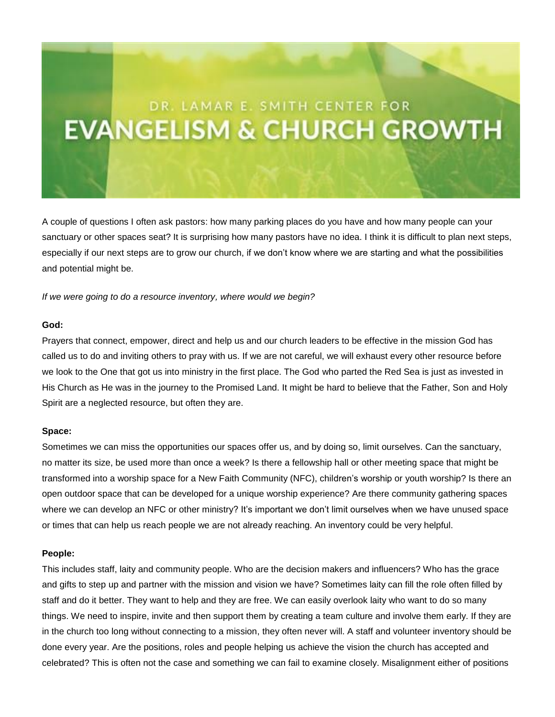# DR. LAMAR E. SMITH CENTER FOR **EVANGELISM & CHURCH GROWTH**

A couple of questions I often ask pastors: how many parking places do you have and how many people can your sanctuary or other spaces seat? It is surprising how many pastors have no idea. I think it is difficult to plan next steps, especially if our next steps are to grow our church, if we don't know where we are starting and what the possibilities and potential might be.

*If we were going to do a resource inventory, where would we begin?*

#### **God:**

Prayers that connect, empower, direct and help us and our church leaders to be effective in the mission God has called us to do and inviting others to pray with us. If we are not careful, we will exhaust every other resource before we look to the One that got us into ministry in the first place. The God who parted the Red Sea is just as invested in His Church as He was in the journey to the Promised Land. It might be hard to believe that the Father, Son and Holy Spirit are a neglected resource, but often they are.

#### **Space:**

Sometimes we can miss the opportunities our spaces offer us, and by doing so, limit ourselves. Can the sanctuary, no matter its size, be used more than once a week? Is there a fellowship hall or other meeting space that might be transformed into a worship space for a New Faith Community (NFC), children's worship or youth worship? Is there an open outdoor space that can be developed for a unique worship experience? Are there community gathering spaces where we can develop an NFC or other ministry? It's important we don't limit ourselves when we have unused space or times that can help us reach people we are not already reaching. An inventory could be very helpful.

#### **People:**

This includes staff, laity and community people. Who are the decision makers and influencers? Who has the grace and gifts to step up and partner with the mission and vision we have? Sometimes laity can fill the role often filled by staff and do it better. They want to help and they are free. We can easily overlook laity who want to do so many things. We need to inspire, invite and then support them by creating a team culture and involve them early. If they are in the church too long without connecting to a mission, they often never will. A staff and volunteer inventory should be done every year. Are the positions, roles and people helping us achieve the vision the church has accepted and celebrated? This is often not the case and something we can fail to examine closely. Misalignment either of positions